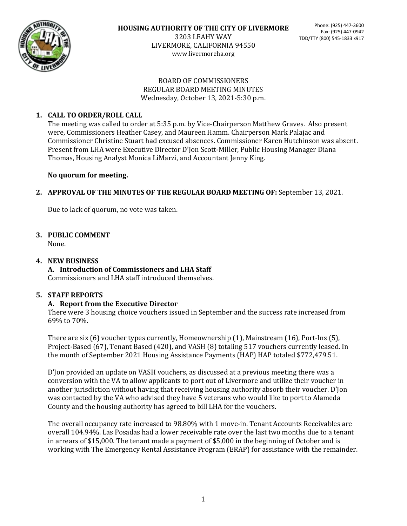

LIVERMORE, CALIFORNIA 94550 www.livermoreha.org

#### BOARD OF COMMISSIONERS REGULAR BOARD MEETING MINUTES Wednesday, October 13, 2021-5:30 p.m.

# **1. CALL TO ORDER/ROLL CALL**

The meeting was called to order at 5:35 p.m. by Vice-Chairperson Matthew Graves. Also present were, Commissioners Heather Casey, and Maureen Hamm. Chairperson Mark Palajac and Commissioner Christine Stuart had excused absences. Commissioner Karen Hutchinson was absent. Present from LHA were Executive Director D'Jon Scott-Miller, Public Housing Manager Diana Thomas, Housing Analyst Monica LiMarzi, and Accountant Jenny King.

# **No quorum for meeting.**

# **2. APPROVAL OF THE MINUTES OF THE REGULAR BOARD MEETING OF:** September 13, 2021.

Due to lack of quorum, no vote was taken.

# **3. PUBLIC COMMENT**

None.

# **4. NEW BUSINESS**

**A. Introduction of Commissioners and LHA Staff** Commissioners and LHA staff introduced themselves.

# **5. STAFF REPORTS**

# **A. Report from the Executive Director**

There were 3 housing choice vouchers issued in September and the success rate increased from 69% to 70%.

There are six (6) voucher types currently, Homeownership (1), Mainstream (16), Port-Ins (5), Project-Based (67), Tenant Based (420), and VASH (8) totaling 517 vouchers currently leased. In the month of September 2021 Housing Assistance Payments (HAP) HAP totaled \$772,479.51.

D'Jon provided an update on VASH vouchers, as discussed at a previous meeting there was a conversion with the VA to allow applicants to port out of Livermore and utilize their voucher in another jurisdiction without having that receiving housing authority absorb their voucher. D'Jon was contacted by the VA who advised they have 5 veterans who would like to port to Alameda County and the housing authority has agreed to bill LHA for the vouchers.

The overall occupancy rate increased to 98.80% with 1 move-in. Tenant Accounts Receivables are overall 104.94%. Las Posadas had a lower receivable rate over the last two months due to a tenant in arrears of \$15,000. The tenant made a payment of \$5,000 in the beginning of October and is working with The Emergency Rental Assistance Program (ERAP) for assistance with the remainder.